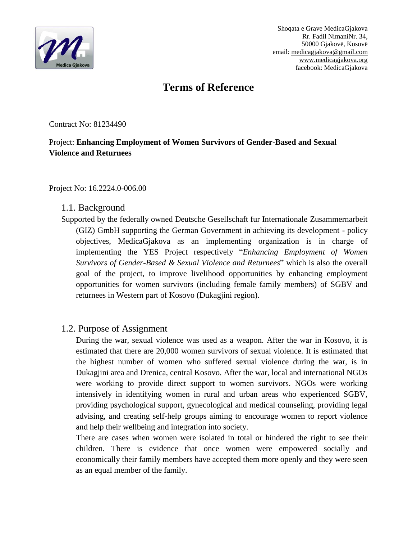

Shoqata e Grave MedicaGjakova Rr. Fadil NimaniNr. 34, 50000 Gjakovë, Kosovë email: medicagjakova@gmail.com www.medicagjakova.org facebook: MedicaGjakova

# **Terms of Reference**

Contract No: 81234490

#### Project: **Enhancing Employment of Women Survivors of Gender-Based and Sexual Violence and Returnees**

#### Project No: 16.2224.0-006.00

#### 1.1. Background

Supported by the federally owned Deutsche Gesellschaft fur Internationale Zusammernarbeit (GIZ) GmbH supporting the German Government in achieving its development - policy objectives, MedicaGjakova as an implementing organization is in charge of implementing the YES Project respectively "*Enhancing Employment of Women Survivors of Gender-Based & Sexual Violence and Returnees*" which is also the overall goal of the project, to improve livelihood opportunities by enhancing employment opportunities for women survivors (including female family members) of SGBV and returnees in Western part of Kosovo (Dukagjini region).

#### 1.2. Purpose of Assignment

During the war, sexual violence was used as a weapon. After the war in Kosovo, it is estimated that there are 20,000 women survivors of sexual violence. It is estimated that the highest number of women who suffered sexual violence during the war, is in Dukagjini area and Drenica, central Kosovo. After the war, local and international NGOs were working to provide direct support to women survivors. NGOs were working intensively in identifying women in rural and urban areas who experienced SGBV, providing psychological support, gynecological and medical counseling, providing legal advising, and creating self-help groups aiming to encourage women to report violence and help their wellbeing and integration into society.

There are cases when women were isolated in total or hindered the right to see their children. There is evidence that once women were empowered socially and economically their family members have accepted them more openly and they were seen as an equal member of the family.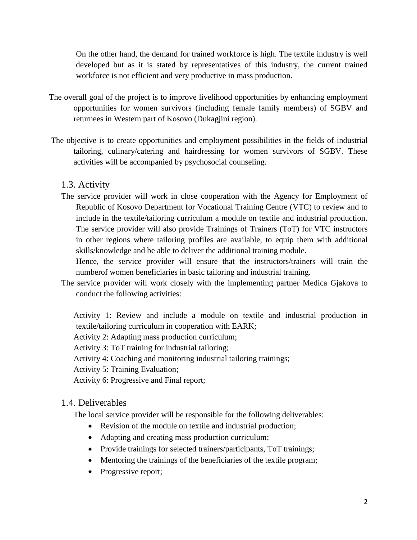On the other hand, the demand for trained workforce is high. The textile industry is well developed but as it is stated by representatives of this industry, the current trained workforce is not efficient and very productive in mass production.

- The overall goal of the project is to improve livelihood opportunities by enhancing employment opportunities for women survivors (including female family members) of SGBV and returnees in Western part of Kosovo (Dukagjini region).
- The objective is to create opportunities and employment possibilities in the fields of industrial tailoring, culinary/catering and hairdressing for women survivors of SGBV. These activities will be accompanied by psychosocial counseling.

#### 1.3. Activity

The service provider will work in close cooperation with the Agency for Employment of Republic of Kosovo Department for Vocational Training Centre (VTC) to review and to include in the textile/tailoring curriculum a module on textile and industrial production. The service provider will also provide Trainings of Trainers (ToT) for VTC instructors in other regions where tailoring profiles are available, to equip them with additional skills/knowledge and be able to deliver the additional training module.

Hence, the service provider will ensure that the instructors/trainers will train the numberof women beneficiaries in basic tailoring and industrial training.

The service provider will work closely with the implementing partner Medica Gjakova to conduct the following activities:

Activity 1: Review and include a module on textile and industrial production in textile/tailoring curriculum in cooperation with EARK;

Activity 2: Adapting mass production curriculum;

Activity 3: ToT training for industrial tailoring;

Activity 4: Coaching and monitoring industrial tailoring trainings;

Activity 5: Training Evaluation;

Activity 6: Progressive and Final report;

#### 1.4. Deliverables

The local service provider will be responsible for the following deliverables:

- Revision of the module on textile and industrial production;
- Adapting and creating mass production curriculum;
- Provide trainings for selected trainers/participants, ToT trainings;
- Mentoring the trainings of the beneficiaries of the textile program;
- Progressive report;